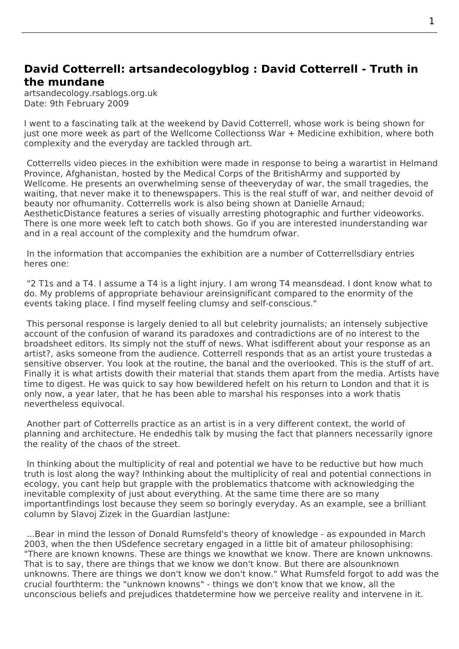## **David Cotterrell: artsandecologyblog : David Cotterrell - Truth in the mundane**

artsandecology.rsablogs.org.uk Date: 9th February 2009

I went to a fascinating talk at the weekend by David Cotterrell, whose work is being shown for just one more week as part of the Wellcome Collectionss War + Medicine exhibition, where both complexity and the everyday are tackled through art.

 Cotterrells video piec[es in](http://www.cotterrell.com/talks/4202/david-cotterrell-in-conversation/) the exhibition were made in response to being a warartist in Helmand Province, Afghanistan, hosted by the Medical Corps of th[e BritishArmy an](http://www.cotterrell.com/exhibitions/4192/war-and-medicine/)d supported by Wellcome. He presents an overwhelming sense of theeveryday of war, the small tragedies, the waiting, that never make it to thenewspapers. This is the real stuff of war, and neither devoid of beauty nor [ofhum](http://www.cotterrell.com/projects/4204/theatre/)anity. Cotterrells work is also being shown at Danielle Arnaud; AestheticDistance features a series of visually arresting photographic and further videoworks. There is one more week left to catch both shows. Go if you are interested inunderstanding war and in a real account of the complexity and the humdrum ofwar.

 [In the information](http://www.cotterrell.com/exhibitions/4213/aesthetic-distance/) that accompanies the exhibition are a number of Cotterrellsdiary entries heres one:

"2 T1s and a T4. I assume a T4 is a light injury. I am wrong T4 meansdead. I dont know what to do. My problems of appropriate behaviour areinsignificant compared to the enormity of the events taking place. I find myself feeling clumsy and self-conscious."

 This personal response is largely denied to all but celebrity journalists; an intensely subjective account of the confusion of warand its paradoxes and contradictions are of no interest to the broadsheet editors. Its simply not the stuff of news. What isdifferent about your response as an artist?, asks someone from the audience. Cotterrell responds that as an artist youre trustedas a sensitive observer. You look at the routine, the banal and the overlooked. This is the stuff of art. Finally it is what artists dowith their material that stands them apart from the media. Artists have time to digest. He was quick to say how bewildered hefelt on his return to London and that it is only now, a year later, that he has been able to marshal his responses into a work thatis nevertheless equivocal.

 Another part of Cotterrells practice as an artist is in a very different context, the world of planning and architecture. He endedhis talk by musing the fact that planners necessarily ignore the reality of the chaos of the street.

 In thinking about the multiplicity of real and potential we have to be reductive but how much truth is lost along the way? Inthinking about the multiplicity of real and potential connections in ecology, you cant help but grapple with the problematics thatcome with acknowledging the inevitable complexity of just about everything. At the same time there are so many importantfindings lost because they seem so boringly everyday. As an example, see a brilliant column by Slavoi Zizek in the Guardian lastlune:

...Bear in mind the lesson of Donald Rumsfeld's theory of knowledge - as expounded in March 2003, when the then USdefence secretary engaged in a little bit of amateur philosophising: "There are known knowns. These are things we knowthat we know. There are known unknowns. That is to say, there are things that we know we don't know. But there are alsounknown unknowns. There are things we don't know we don't know." What Rumsfeld forgot to add was the crucial fourthterm: the "unknown knowns" - things we don't know that we know, all the unconscious beliefs and prejudices thatdetermine how we perceive reality and intervene in it.